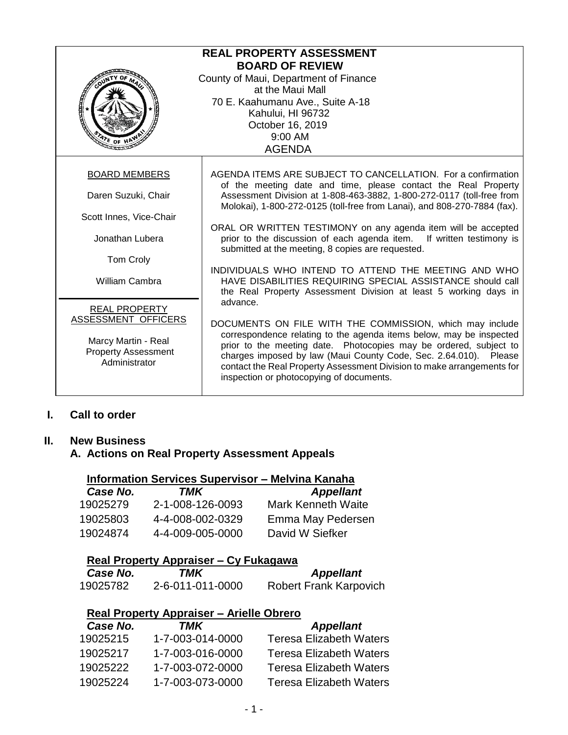| <b>REAL PROPERTY ASSESSMENT</b><br><b>BOARD OF REVIEW</b><br>County of Maui, Department of Finance<br>at the Maui Mall<br>70 E. Kaahumanu Ave., Suite A-18<br>Kahului, HI 96732<br>October 16, 2019<br>9:00 AM<br>$v_{\epsilon}$ or H<br><b>AGENDA</b> |                                                                                                                                                                                                                                                                                                                                                                                                |  |
|--------------------------------------------------------------------------------------------------------------------------------------------------------------------------------------------------------------------------------------------------------|------------------------------------------------------------------------------------------------------------------------------------------------------------------------------------------------------------------------------------------------------------------------------------------------------------------------------------------------------------------------------------------------|--|
| <b>BOARD MEMBERS</b><br>Daren Suzuki, Chair                                                                                                                                                                                                            | AGENDA ITEMS ARE SUBJECT TO CANCELLATION. For a confirmation<br>of the meeting date and time, please contact the Real Property<br>Assessment Division at 1-808-463-3882, 1-800-272-0117 (toll-free from<br>Molokai), 1-800-272-0125 (toll-free from Lanai), and 808-270-7884 (fax).                                                                                                            |  |
| Scott Innes, Vice-Chair<br>Jonathan Lubera                                                                                                                                                                                                             | ORAL OR WRITTEN TESTIMONY on any agenda item will be accepted<br>prior to the discussion of each agenda item. If written testimony is<br>submitted at the meeting, 8 copies are requested.                                                                                                                                                                                                     |  |
| Tom Croly<br>William Cambra<br><b>REAL PROPERTY</b>                                                                                                                                                                                                    | INDIVIDUALS WHO INTEND TO ATTEND THE MEETING AND WHO<br>HAVE DISABILITIES REQUIRING SPECIAL ASSISTANCE should call<br>the Real Property Assessment Division at least 5 working days in<br>advance.                                                                                                                                                                                             |  |
| ASSESSMENT OFFICERS<br>Marcy Martin - Real<br><b>Property Assessment</b><br>Administrator                                                                                                                                                              | DOCUMENTS ON FILE WITH THE COMMISSION, which may include<br>correspondence relating to the agenda items below, may be inspected<br>prior to the meeting date. Photocopies may be ordered, subject to<br>charges imposed by law (Maui County Code, Sec. 2.64.010). Please<br>contact the Real Property Assessment Division to make arrangements for<br>inspection or photocopying of documents. |  |

# **I. Call to order**

#### **II. New Business**

**A. Actions on Real Property Assessment Appeals**

|  |  | <b>Information Services Supervisor - Melvina Kanaha</b> |  |  |
|--|--|---------------------------------------------------------|--|--|
|--|--|---------------------------------------------------------|--|--|

| Case No. | TMK              | <b>Appellant</b>          |
|----------|------------------|---------------------------|
| 19025279 | 2-1-008-126-0093 | <b>Mark Kenneth Waite</b> |
| 19025803 | 4-4-008-002-0329 | Emma May Pedersen         |
| 19024874 | 4-4-009-005-0000 | David W Siefker           |

### **Real Property Appraiser – Cy Fukagawa**

| Case No. | TMK              | <b>Appellant</b>              |
|----------|------------------|-------------------------------|
| 19025782 | 2-6-011-011-0000 | <b>Robert Frank Karpovich</b> |

## **Real Property Appraiser – Arielle Obrero**

| Case No. | TMK              | <b>Appellant</b>               |
|----------|------------------|--------------------------------|
| 19025215 | 1-7-003-014-0000 | <b>Teresa Elizabeth Waters</b> |
| 19025217 | 1-7-003-016-0000 | <b>Teresa Elizabeth Waters</b> |
| 19025222 | 1-7-003-072-0000 | <b>Teresa Elizabeth Waters</b> |
| 19025224 | 1-7-003-073-0000 | <b>Teresa Elizabeth Waters</b> |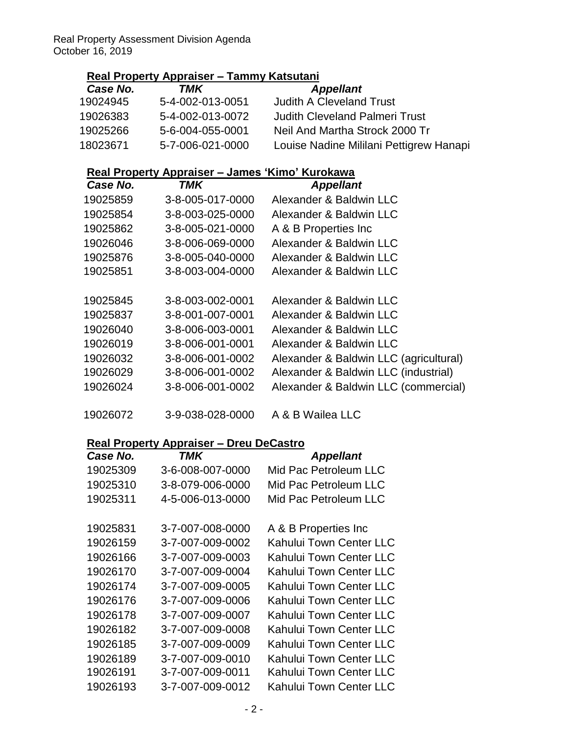Real Property Assessment Division Agenda October 16, 2019

### **Real Property Appraiser – Tammy Katsutani**

| Case No. | TMK              | <b>Appellant</b>                        |
|----------|------------------|-----------------------------------------|
| 19024945 | 5-4-002-013-0051 | <b>Judith A Cleveland Trust</b>         |
| 19026383 | 5-4-002-013-0072 | <b>Judith Cleveland Palmeri Trust</b>   |
| 19025266 | 5-6-004-055-0001 | Neil And Martha Strock 2000 Tr          |
| 18023671 | 5-7-006-021-0000 | Louise Nadine Mililani Pettigrew Hanapi |

### **Real Property Appraiser – James 'Kimo' Kurokawa**

| Case No. | TMK              | <b>Appellant</b>                       |
|----------|------------------|----------------------------------------|
| 19025859 | 3-8-005-017-0000 | Alexander & Baldwin LLC                |
| 19025854 | 3-8-003-025-0000 | Alexander & Baldwin LLC                |
| 19025862 | 3-8-005-021-0000 | A & B Properties Inc.                  |
| 19026046 | 3-8-006-069-0000 | Alexander & Baldwin LLC                |
| 19025876 | 3-8-005-040-0000 | Alexander & Baldwin LLC                |
| 19025851 | 3-8-003-004-0000 | Alexander & Baldwin LLC                |
|          |                  |                                        |
| 19025845 | 3-8-003-002-0001 | Alexander & Baldwin LLC                |
| 19025837 | 3-8-001-007-0001 | Alexander & Baldwin LLC                |
| 19026040 | 3-8-006-003-0001 | Alexander & Baldwin LLC                |
| 19026019 | 3-8-006-001-0001 | Alexander & Baldwin LLC                |
| 19026032 | 3-8-006-001-0002 | Alexander & Baldwin LLC (agricultural) |
| 19026029 | 3-8-006-001-0002 | Alexander & Baldwin LLC (industrial)   |
| 19026024 | 3-8-006-001-0002 | Alexander & Baldwin LLC (commercial)   |
|          |                  |                                        |

3-9-038-028-0000 A & B Wailea LLC

## **Real Property Appraiser – Dreu DeCastro**

| <i><b>Case No.</b></i> | TMK              | <b>Appellant</b>               |
|------------------------|------------------|--------------------------------|
| 19025309               | 3-6-008-007-0000 | Mid Pac Petroleum LLC          |
| 19025310               | 3-8-079-006-0000 | Mid Pac Petroleum LLC          |
| 19025311               | 4-5-006-013-0000 | Mid Pac Petroleum LLC          |
|                        |                  |                                |
| 19025831               | 3-7-007-008-0000 | A & B Properties Inc           |
| 19026159               | 3-7-007-009-0002 | Kahului Town Center LLC        |
| 19026166               | 3-7-007-009-0003 | <b>Kahului Town Center LLC</b> |
| 19026170               | 3-7-007-009-0004 | <b>Kahului Town Center LLC</b> |
| 19026174               | 3-7-007-009-0005 | <b>Kahului Town Center LLC</b> |
| 19026176               | 3-7-007-009-0006 | Kahului Town Center LLC        |
| 19026178               | 3-7-007-009-0007 | Kahului Town Center LLC        |
| 19026182               | 3-7-007-009-0008 | Kahului Town Center LLC        |
| 19026185               | 3-7-007-009-0009 | <b>Kahului Town Center LLC</b> |
| 19026189               | 3-7-007-009-0010 | Kahului Town Center LLC        |
| 19026191               | 3-7-007-009-0011 | <b>Kahului Town Center LLC</b> |
| 19026193               | 3-7-007-009-0012 | Kahului Town Center LLC        |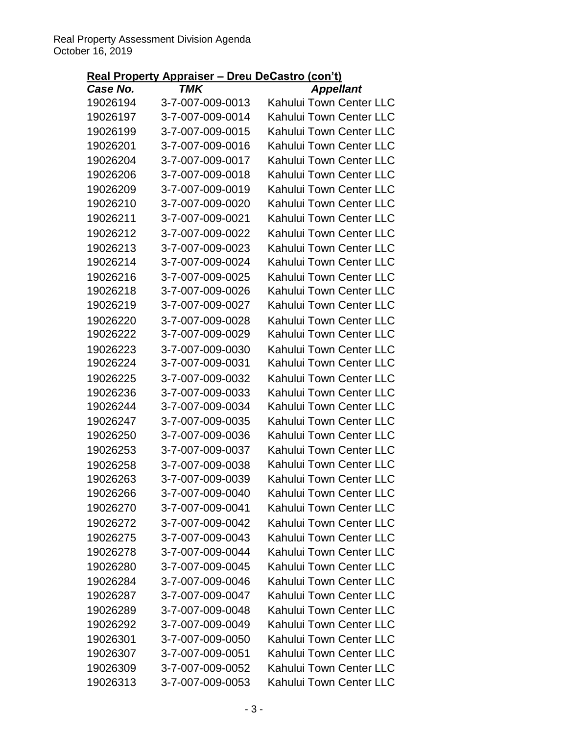## **Real Property Appraiser – Dreu DeCastro (con't)**

| Case No. | TMK              | <b>Appellant</b>               |
|----------|------------------|--------------------------------|
| 19026194 | 3-7-007-009-0013 | <b>Kahului Town Center LLC</b> |
| 19026197 | 3-7-007-009-0014 | Kahului Town Center LLC        |
| 19026199 | 3-7-007-009-0015 | <b>Kahului Town Center LLC</b> |
| 19026201 | 3-7-007-009-0016 | <b>Kahului Town Center LLC</b> |
| 19026204 | 3-7-007-009-0017 | <b>Kahului Town Center LLC</b> |
| 19026206 | 3-7-007-009-0018 | Kahului Town Center LLC        |
| 19026209 | 3-7-007-009-0019 | <b>Kahului Town Center LLC</b> |
| 19026210 | 3-7-007-009-0020 | <b>Kahului Town Center LLC</b> |
| 19026211 | 3-7-007-009-0021 | <b>Kahului Town Center LLC</b> |
| 19026212 | 3-7-007-009-0022 | <b>Kahului Town Center LLC</b> |
| 19026213 | 3-7-007-009-0023 | <b>Kahului Town Center LLC</b> |
| 19026214 | 3-7-007-009-0024 | <b>Kahului Town Center LLC</b> |
| 19026216 | 3-7-007-009-0025 | <b>Kahului Town Center LLC</b> |
| 19026218 | 3-7-007-009-0026 | <b>Kahului Town Center LLC</b> |
| 19026219 | 3-7-007-009-0027 | Kahului Town Center LLC        |
| 19026220 | 3-7-007-009-0028 | <b>Kahului Town Center LLC</b> |
| 19026222 | 3-7-007-009-0029 | <b>Kahului Town Center LLC</b> |
| 19026223 | 3-7-007-009-0030 | <b>Kahului Town Center LLC</b> |
| 19026224 | 3-7-007-009-0031 | <b>Kahului Town Center LLC</b> |
| 19026225 | 3-7-007-009-0032 | <b>Kahului Town Center LLC</b> |
| 19026236 | 3-7-007-009-0033 | <b>Kahului Town Center LLC</b> |
| 19026244 | 3-7-007-009-0034 | <b>Kahului Town Center LLC</b> |
| 19026247 | 3-7-007-009-0035 | <b>Kahului Town Center LLC</b> |
| 19026250 | 3-7-007-009-0036 | <b>Kahului Town Center LLC</b> |
| 19026253 | 3-7-007-009-0037 | <b>Kahului Town Center LLC</b> |
| 19026258 | 3-7-007-009-0038 | <b>Kahului Town Center LLC</b> |
| 19026263 | 3-7-007-009-0039 | <b>Kahului Town Center LLC</b> |
| 19026266 | 3-7-007-009-0040 | Kahului Town Center LLC        |
| 19026270 | 3-7-007-009-0041 | <b>Kahului Town Center LLC</b> |
| 19026272 | 3-7-007-009-0042 | Kahului Town Center LLC        |
| 19026275 | 3-7-007-009-0043 | <b>Kahului Town Center LLC</b> |
| 19026278 | 3-7-007-009-0044 | <b>Kahului Town Center LLC</b> |
| 19026280 | 3-7-007-009-0045 | <b>Kahului Town Center LLC</b> |
| 19026284 | 3-7-007-009-0046 | <b>Kahului Town Center LLC</b> |
| 19026287 | 3-7-007-009-0047 | Kahului Town Center LLC        |
| 19026289 | 3-7-007-009-0048 | <b>Kahului Town Center LLC</b> |
| 19026292 | 3-7-007-009-0049 | <b>Kahului Town Center LLC</b> |
| 19026301 | 3-7-007-009-0050 | <b>Kahului Town Center LLC</b> |
| 19026307 | 3-7-007-009-0051 | <b>Kahului Town Center LLC</b> |
| 19026309 | 3-7-007-009-0052 | <b>Kahului Town Center LLC</b> |
| 19026313 | 3-7-007-009-0053 | Kahului Town Center LLC        |